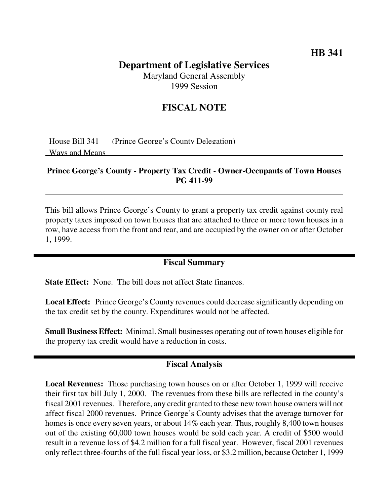# **HB 341**

# **Department of Legislative Services**

Maryland General Assembly 1999 Session

## **FISCAL NOTE**

House Bill 341 (Prince George's County Delegation) Ways and Means

#### **Prince George's County - Property Tax Credit - Owner-Occupants of Town Houses PG 411-99**

This bill allows Prince George's County to grant a property tax credit against county real property taxes imposed on town houses that are attached to three or more town houses in a row, have access from the front and rear, and are occupied by the owner on or after October 1, 1999.

#### **Fiscal Summary**

**State Effect:** None. The bill does not affect State finances.

**Local Effect:** Prince George's County revenues could decrease significantly depending on the tax credit set by the county. Expenditures would not be affected.

**Small Business Effect:** Minimal. Small businesses operating out of town houses eligible for the property tax credit would have a reduction in costs.

## **Fiscal Analysis**

**Local Revenues:** Those purchasing town houses on or after October 1, 1999 will receive their first tax bill July 1, 2000. The revenues from these bills are reflected in the county's fiscal 2001 revenues. Therefore, any credit granted to these new town house owners will not affect fiscal 2000 revenues. Prince George's County advises that the average turnover for homes is once every seven years, or about 14% each year. Thus, roughly 8,400 town houses out of the existing 60,000 town houses would be sold each year. A credit of \$500 would result in a revenue loss of \$4.2 million for a full fiscal year. However, fiscal 2001 revenues only reflect three-fourths of the full fiscal year loss, or \$3.2 million, because October 1, 1999